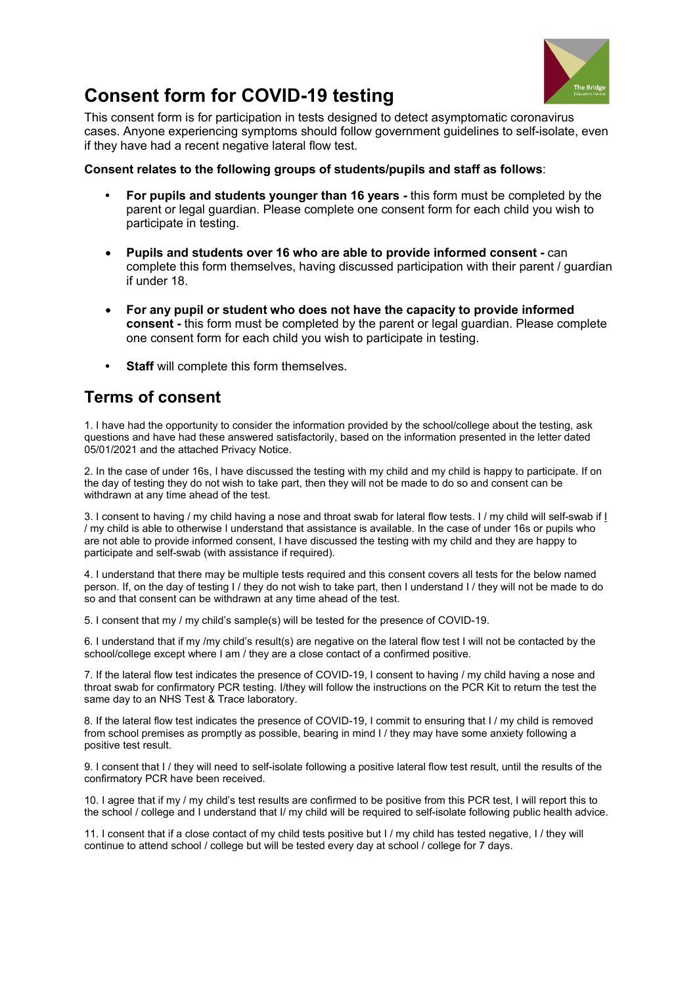

## **Consent form for COVID-19 testing**

This consent form is for participation in tests designed to detect asymptomatic coronavirus cases. Anyone experiencing symptoms should follow government guidelines to self-isolate, even if they have had a recent negative lateral flow test.

## **Consent relates to the following groups of students/pupils and staff as follows**:

- **For pupils and students younger than 16 years** this form must be completed by the parent or legal guardian. Please complete one consent form for each child you wish to participate in testing.
- **Pupils and students over 16 who are able to provide informed consent** can complete this form themselves, having discussed participation with their parent / guardian if under 18.
- **For any pupil or student who does not have the capacity to provide informed consent -** this form must be completed by the parent or legal guardian. Please complete one consent form for each child you wish to participate in testing.
- **Staff** will complete this form themselves.

## **Terms of consent**

1. I have had the opportunity to consider the information provided by the school/college about the testing, ask questions and have had these answered satisfactorily, based on the information presented in the letter dated 05/01/2021 and the attached Privacy Notice.

2. In the case of under 16s, I have discussed the testing with my child and my child is happy to participate. If on the day of testing they do not wish to take part, then they will not be made to do so and consent can be withdrawn at any time ahead of the test.

3. I consent to having / my child having a nose and throat swab for lateral flow tests. I / my child will self-swab if I / my child is able to otherwise I understand that assistance is available. In the case of under 16s or pupils who are not able to provide informed consent, I have discussed the testing with my child and they are happy to participate and self-swab (with assistance if required).

4. I understand that there may be multiple tests required and this consent covers all tests for the below named person. If, on the day of testing I / they do not wish to take part, then I understand I / they will not be made to do so and that consent can be withdrawn at any time ahead of the test.

5. I consent that my / my child's sample(s) will be tested for the presence of COVID-19.

6. I understand that if my /my child's result(s) are negative on the lateral flow test I will not be contacted by the school/college except where I am / they are a close contact of a confirmed positive.

7. If the lateral flow test indicates the presence of COVID-19, I consent to having / my child having a nose and throat swab for confirmatory PCR testing. I/they will follow the instructions on the PCR Kit to return the test the same day to an NHS Test & Trace laboratory.

8. If the lateral flow test indicates the presence of COVID-19, I commit to ensuring that I / my child is removed from school premises as promptly as possible, bearing in mind I / they may have some anxiety following a positive test result.

9. I consent that I / they will need to self-isolate following a positive lateral flow test result, until the results of the confirmatory PCR have been received.

10. I agree that if my / my child's test results are confirmed to be positive from this PCR test, I will report this to the school / college and I understand that I/ my child will be required to self-isolate following public health advice.

11. I consent that if a close contact of my child tests positive but I / my child has tested negative, I / they will continue to attend school / college but will be tested every day at school / college for 7 days.